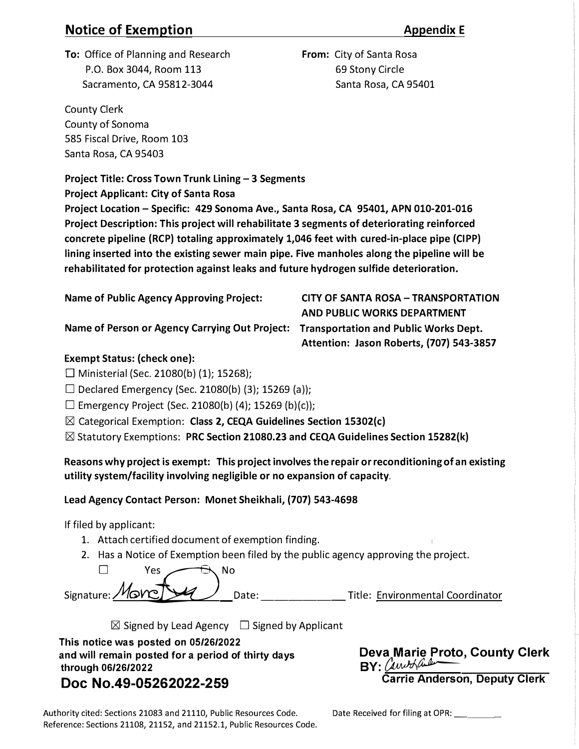# **Notice of Exemption** *Appendix E*

**From:** City of Santa Rosa 69 Stony Circle

**AND PUBLIC WORKS DEPARTMENT** 

**Attention: Jason Roberts, (707) 543-3857** 

**To:** Office of Planning and Research P.O. Box 3044, Room 113 Sacramento, CA 95812-3044 Santa Rosa, CA 95401

County Clerk County of Sonoma 585 Fiscal Drive, Room 103 Santa Rosa, CA 95403

**Project Title: Cross Town Trunk Lining-3 Segments** 

**Project Applicant: City of Santa Rosa** 

**Project Location -Specific: 429 Sonoma Ave., Santa Rosa, CA 95401, APN 010-201-016 Project Description: This project will rehabilitate 3 segments of deteriorating reinforced concrete pipeline (RCP) totaling approximately 1,046 feet with cured-in-place pipe (CIPP) lining inserted into the existing sewer main pipe. Five manholes along the pipeline will be rehabilitated for protection against leaks and future hydrogen sulfide deterioration.** 

**Name of Public Agency Approving Project: CITY OF SANTA ROSA-TRANSPORTATION** 

**Name of Person or Agency Carrying Out Project: Transportation and Public Works Dept.** 

## **Exempt Status: (check one):**

 $\Box$  Ministerial (Sec. 21080(b) (1); 15268);

 $\Box$  Declared Emergency (Sec. 21080(b) (3); 15269 (a));

 $\Box$  Emergency Project (Sec. 21080(b) (4); 15269 (b)(c));

**IZI** Categorical Exemption: **Class 2, CEQA Guidelines Section 15302(c)**

**IZI** Statutory Exemptions: **PRC Section 21080.23 and CEQA Guidelines Section 15282(k)**

**Reasons why project is exempt: This project involves the repair or reconditioning of an existing utility system/facility involving negligible or no expansion of capacity.** 

## **Lead Agency Contact Person: Monet Sheikhali, (707) 543-4698**

If filed by applicant:

- 1. Attach certified document of exemption finding.
- 2. Has a Notice of Exemption been filed by the public agency approving the project.

| Yes                             |       |                                  |
|---------------------------------|-------|----------------------------------|
| $Signature$ : Monette $\bigcup$ | Date: | Title: Environmental Coordinator |
|                                 |       |                                  |

**IZI** Signed by Lead Agency **D** Signed by Applicant

**This notice was posted on 05/26/2022 and will remain posted for a period of thirty days through 06/26/2022** 

**Deva Marie Proto, County Clerk**   $BY: (InvM$ **Carrie Anderson, Deputy Clerk** 

# **Doc No.49-05262022-259**

Date Received for filing at OPR: \_\_\_

Authority cited: Sections 21083 and 21110, Public Resources Code. Reference: Sections 21108, 21152, and 21152.1, Public Resources Code.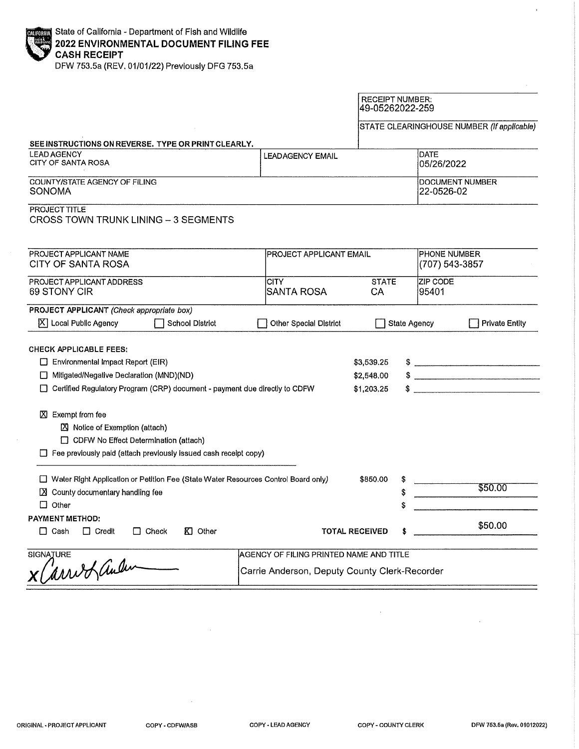DFW 753.5a (REV. 01/01/22) Previously DFG 753.5a

#### **RECEIPT NUMBER:** 49-05262022-259 STATE CLEARINGHOUSE NUMBER (If applicable) SEE INSTRUCTIONS ON REVERSE. TYPE OR PRINT CLEARLY. **LEAD AGENCY** DATE **LEADAGENCY EMAIL** CITY OF SANTA ROSA 05/26/2022 **COUNTY/STATE AGENCY OF FILING DOCUMENT NUMBER SONOMA** 22-0526-02 **PROJECT TITLE CROSS TOWN TRUNK LINING - 3 SEGMENTS** PROJECT APPLICANT NAME **PHONE NUMBER** PROJECT APPLICANT EMAIL **CITY OF SANTA ROSA** (707) 543-3857 PROJECT APPLICANT ADDRESS ZIP CODE **STATE CITY** 69 STONY CIR 95401 SANTA ROSA CA PROJECT APPLICANT (Check appropriate box)  $|\overline{X}|$  Local Public Agency School District Other Special District State Agency Private Entity **CHECK APPLICABLE FEES:** Environmental Impact Report (EIR) \$3,539.25  $\sim$  $\frac{1}{2}$ Mitigated/Negative Declaration (MND)(ND) \$2,548.00 □ Certified Regulatory Program (CRP) document - payment due directly to CDFW  $\frac{1}{2}$ \$1,203.25  $X$  Exempt from fee Notice of Exemption (attach) CDFW No Effect Determination (attach) Fee previously paid (attach previously issued cash receipt copy) □ Water Right Application or Petition Fee (State Water Resources Control Board only) \$850,00 \$ \$50.00 X County documentary handling fee \$  $\Box$  Other **PAYMENT METHOD:** \$50.00 **TOTAL RECEIVED**  $\Box$  Cash  $\Box$  Credit KI Other  $\Box$  Check AGENCY OF FILING PRINTED NAME AND TITLE **SIGNATURE** x Carried auden Carrie Anderson, Deputy County Clerk-Recorder